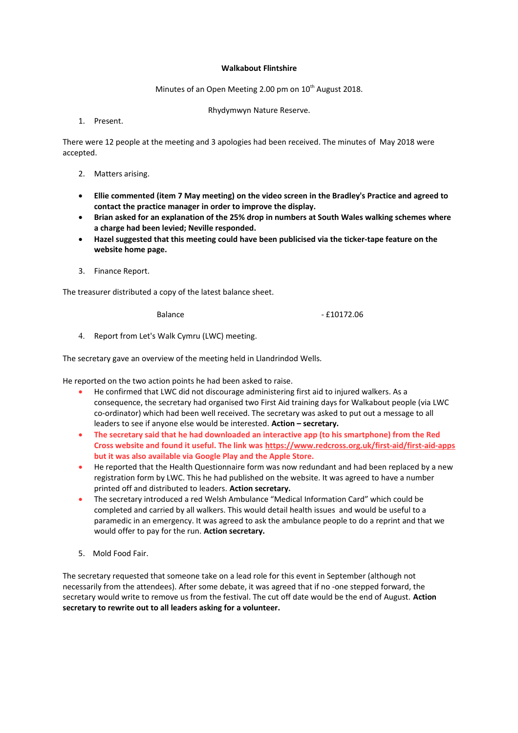## **Walkabout Flintshire**

Minutes of an Open Meeting 2.00 pm on  $10^{th}$  August 2018.

Rhydymwyn Nature Reserve.

1. Present.

There were 12 people at the meeting and 3 apologies had been received. The minutes of May 2018 were accepted.

- 2. Matters arising.
- **Ellie commented (item 7 May meeting) on the video screen in the Bradley's Practice and agreed to contact the practice manager in order to improve the display.**
- **Brian asked for an explanation of the 25% drop in numbers at South Wales walking schemes where a charge had been levied; Neville responded.**
- **Hazel suggested that this meeting could have been publicised via the ticker-tape feature on the website home page.**
- 3. Finance Report.

The treasurer distributed a copy of the latest balance sheet.

Balance - £10172.06

4. Report from Let's Walk Cymru (LWC) meeting.

The secretary gave an overview of the meeting held in Llandrindod Wells.

He reported on the two action points he had been asked to raise.

- He confirmed that LWC did not discourage administering first aid to injured walkers. As a consequence, the secretary had organised two First Aid training days for Walkabout people (via LWC co-ordinator) which had been well received. The secretary was asked to put out a message to all leaders to see if anyone else would be interested. **Action – secretary.**
- **The secretary said that he had downloaded an interactive app (to his smartphone) from the Red Cross website and found it useful. The link was<https://www.redcross.org.uk/first-aid/first-aid-apps> but it was also available via Google Play and the Apple Store.**
- He reported that the Health Questionnaire form was now redundant and had been replaced by a new registration form by LWC. This he had published on the website. It was agreed to have a number printed off and distributed to leaders. **Action secretary.**
- The secretary introduced a red Welsh Ambulance "Medical Information Card" which could be completed and carried by all walkers. This would detail health issues and would be useful to a paramedic in an emergency. It was agreed to ask the ambulance people to do a reprint and that we would offer to pay for the run. **Action secretary.**
- 5. Mold Food Fair.

The secretary requested that someone take on a lead role for this event in September (although not necessarily from the attendees). After some debate, it was agreed that if no -one stepped forward, the secretary would write to remove us from the festival. The cut off date would be the end of August. **Action secretary to rewrite out to all leaders asking for a volunteer.**